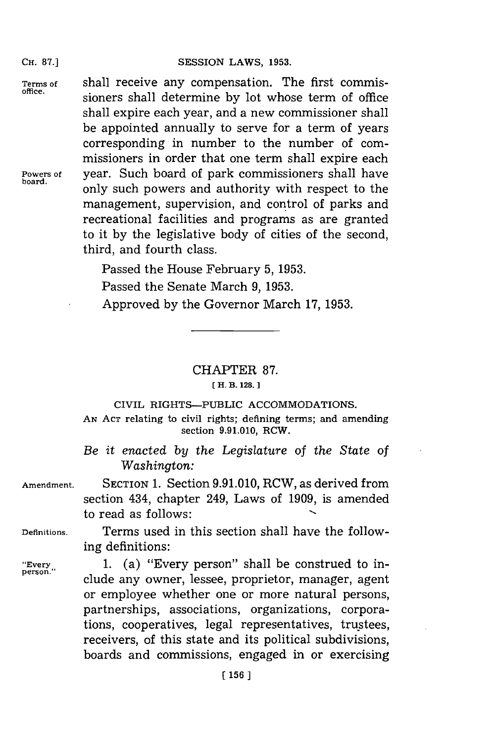Terms of **Shall receive any compensation**. The first commis**office.** sioners shall determine **by** lot whose term of office shall expire each year, and a new commissioner shall be appointed annually to serve for a term of years corresponding in number to the number of commissioners in order that one term shall expire each Powers of **year.** Such board of park commissioners shall have only such powers and authority with respect to the management, supervision, and control of parks and recreational facilities and programs as are granted to it **by** the legislative body of cities of the second, third, and fourth class.

> Passed the House February **5, 1953.** Passed the Senate March **9, 1953.** Approved **by** the Governor March **17, 1953.**

## CHAPTER **87. [ H. B. 128.]1**

## CIVIL RIGHTS-PUBLIC ACCOMMODATIONS.

**AN ACT** relating to civil rights; defining terms; and amending section **9.91.010,** RCW.

*Be it* enacted *by the Legislature of the State of Washington:*

**Amendment.** SECTION **1.** Section **9.9 1. 010,** RCW, as derived from section 434, chapter 249, Laws of **1909,** is amended to read as follows:

**Definitions.** Terms used in this section shall have the following definitions:

"Every 1. (a) "Every person" shall be construed to include any owner, lessee, proprietor, manager, agent or employee whether one or more natural persons, partnerships, associations, organizations, corporations, cooperatives, legal representatives, trustees, receivers, of this state and its political subdivisions, boards and commissions, engaged in or exercising

**CH. 87.]**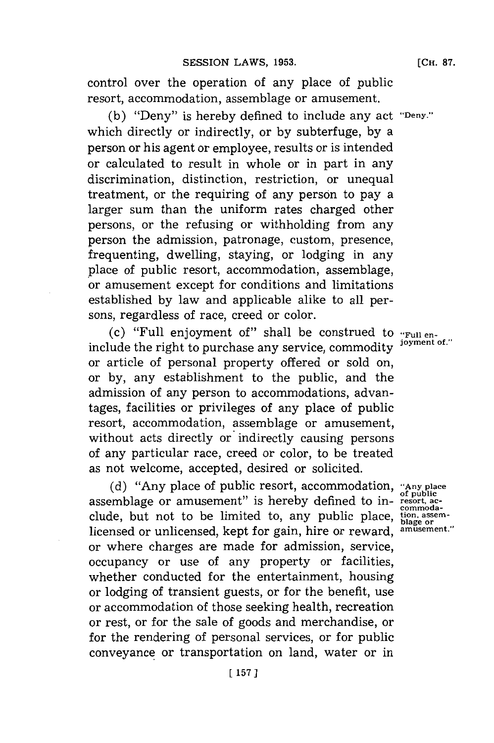control over the operation of any place of public resort, accommodation, assemblage or amusement.

**(b)** "Deny" is hereby defined to include any act **"Deny."** which directly or indirectly, or **by** subterfuge, **by** a person or his agent or employee, results or is intended or calculated to result in whole or in part in any discrimination, distinction, restriction, or unequal treatment, or the requiring of any person to pay a larger sum than the uniform rates charged other persons, or the refusing or withholding from any person the admission, patronage, custom, presence, frequenting, dwelling, staying, or lodging in any place of public resort, accommodation, assemblage, or amusement except for conditions and limitations established **by** law and applicable alike to all persons, regardless of race, creed or color.

(c) "Full enjoyment of" shall be construed to **"Full en**include the right to purchase any service, commodity or article of personal property offered or sold on, or **by,** any establishment to the public, and the admission of any person to accommodations, advantages, facilities or privileges of any place of public resort, accommodation, assemblage or amusement, without acts directly or indirectly causing persons of any particular race, creed or color, to be treated as not welcome, accepted, desired or solicited.

**(d)** "Any place of public resort, accommodation, **"Any place of public** assemblage or amusement" is hereby defined to indiscoursing the total be limited to, any public place,  $\frac{v_{\text{min}}}{\text{blue}}$  or licensed or unlicensed, kept for gain, hire or reward, **amusement."** or where charges are made for admission, service, occupancy or use of any property or facilities, whether conducted for the entertainment, housing or lodging of transient guests, or for the benefit, use or accommodation of those seeking health, recreation or rest, or for the sale of goods and merchandise, or for the rendering of personal services, or for public conveyance or transportation on land, water or in